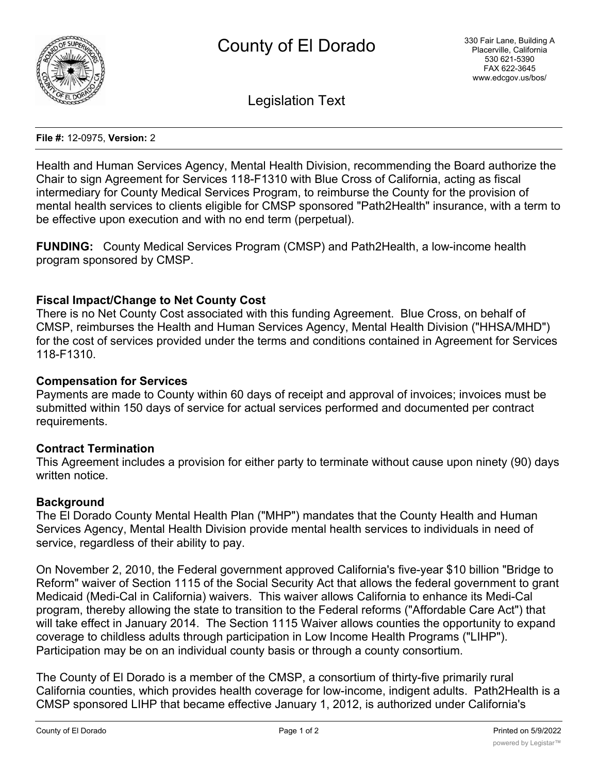

Legislation Text

#### **File #:** 12-0975, **Version:** 2

Health and Human Services Agency, Mental Health Division, recommending the Board authorize the Chair to sign Agreement for Services 118-F1310 with Blue Cross of California, acting as fiscal intermediary for County Medical Services Program, to reimburse the County for the provision of mental health services to clients eligible for CMSP sponsored "Path2Health" insurance, with a term to be effective upon execution and with no end term (perpetual).

**FUNDING:** County Medical Services Program (CMSP) and Path2Health, a low-income health program sponsored by CMSP.

# **Fiscal Impact/Change to Net County Cost**

There is no Net County Cost associated with this funding Agreement. Blue Cross, on behalf of CMSP, reimburses the Health and Human Services Agency, Mental Health Division ("HHSA/MHD") for the cost of services provided under the terms and conditions contained in Agreement for Services 118-F1310.

## **Compensation for Services**

Payments are made to County within 60 days of receipt and approval of invoices; invoices must be submitted within 150 days of service for actual services performed and documented per contract requirements.

### **Contract Termination**

This Agreement includes a provision for either party to terminate without cause upon ninety (90) days written notice.

### **Background**

The El Dorado County Mental Health Plan ("MHP") mandates that the County Health and Human Services Agency, Mental Health Division provide mental health services to individuals in need of service, regardless of their ability to pay.

On November 2, 2010, the Federal government approved California's five-year \$10 billion "Bridge to Reform" waiver of Section 1115 of the Social Security Act that allows the federal government to grant Medicaid (Medi-Cal in California) waivers. This waiver allows California to enhance its Medi-Cal program, thereby allowing the state to transition to the Federal reforms ("Affordable Care Act") that will take effect in January 2014. The Section 1115 Waiver allows counties the opportunity to expand coverage to childless adults through participation in Low Income Health Programs ("LIHP"). Participation may be on an individual county basis or through a county consortium.

The County of El Dorado is a member of the CMSP, a consortium of thirty-five primarily rural California counties, which provides health coverage for low-income, indigent adults. Path2Health is a CMSP sponsored LIHP that became effective January 1, 2012, is authorized under California's